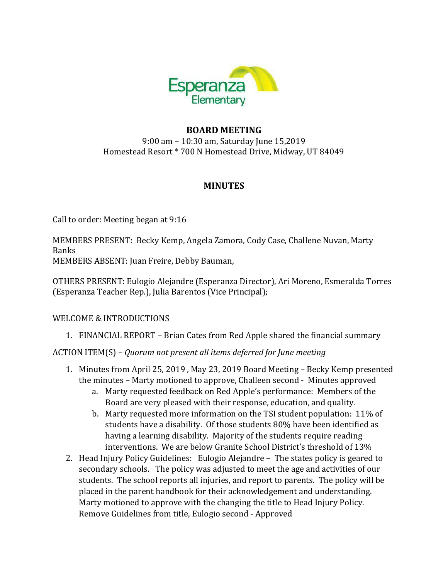

# **BOARD MEETING**

9:00 am - 10:30 am, Saturday June 15,2019 Homestead Resort \* 700 N Homestead Drive, Midway, UT 84049

## **MINUTES**

Call to order: Meeting began at 9:16

MEMBERS PRESENT: Becky Kemp, Angela Zamora, Cody Case, Challene Nuvan, Marty Banks

MEMBERS ABSENT: Juan Freire, Debby Bauman,

OTHERS PRESENT: Eulogio Alejandre (Esperanza Director), Ari Moreno, Esmeralda Torres (Esperanza Teacher Rep.), Julia Barentos (Vice Principal); 

#### WELCOME & INTRODUCTIONS

1. FINANCIAL REPORT – Brian Cates from Red Apple shared the financial summary

ACTION ITEM(S) - *Quorum not present all items deferred for June meeting* 

- 1. Minutes from April 25, 2019, May 23, 2019 Board Meeting Becky Kemp presented the minutes - Marty motioned to approve, Challeen second - Minutes approved
	- a. Marty requested feedback on Red Apple's performance: Members of the Board are very pleased with their response, education, and quality.
	- b. Marty requested more information on the TSI student population:  $11\%$  of students have a disability. Of those students 80% have been identified as having a learning disability. Majority of the students require reading interventions. We are below Granite School District's threshold of 13%
- 2. Head Injury Policy Guidelines: Eulogio Alejandre The states policy is geared to secondary schools. The policy was adjusted to meet the age and activities of our students. The school reports all injuries, and report to parents. The policy will be placed in the parent handbook for their acknowledgement and understanding. Marty motioned to approve with the changing the title to Head Injury Policy. Remove Guidelines from title, Eulogio second - Approved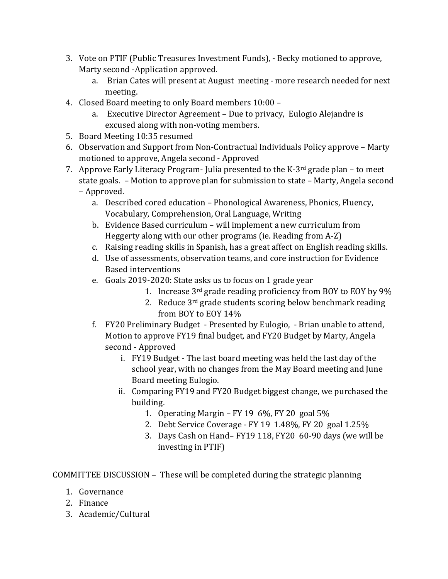- 3. Vote on PTIF (Public Treasures Investment Funds), Becky motioned to approve, Marty second -Application approved.
	- a. Brian Cates will present at August meeting more research needed for next meeting.
- 4. Closed Board meeting to only Board members 10:00
	- a. Executive Director Agreement Due to privacy, Eulogio Alejandre is excused along with non-voting members.
- 5. Board Meeting 10:35 resumed
- 6. Observation and Support from Non-Contractual Individuals Policy approve Marty motioned to approve, Angela second - Approved
- 7. Approve Early Literacy Program- Julia presented to the K-3<sup>rd</sup> grade plan to meet state goals. - Motion to approve plan for submission to state - Marty, Angela second – Approved.
	- a. Described cored education Phonological Awareness, Phonics, Fluency, Vocabulary, Comprehension, Oral Language, Writing
	- b. Evidence Based curriculum will implement a new curriculum from Heggerty along with our other programs (ie. Reading from A-Z)
	- c. Raising reading skills in Spanish, has a great affect on English reading skills.
	- d. Use of assessments, observation teams, and core instruction for Evidence **Based interventions**
	- e. Goals 2019-2020: State asks us to focus on 1 grade year
		- 1. Increase  $3<sup>rd</sup>$  grade reading proficiency from BOY to EOY by 9%
		- 2. Reduce  $3^{rd}$  grade students scoring below benchmark reading from BOY to EOY 14%
	- f. FY20 Preliminary Budget Presented by Eulogio, Brian unable to attend, Motion to approve FY19 final budget, and FY20 Budget by Marty, Angela second - Approved
		- i. FY19 Budget The last board meeting was held the last day of the school year, with no changes from the May Board meeting and June Board meeting Eulogio.
		- ii. Comparing FY19 and FY20 Budget biggest change, we purchased the building.
			- 1. Operating Margin FY 19  $6\%$ , FY 20 goal  $5\%$
			- 2. Debt Service Coverage FY 19 1.48%, FY 20 goal 1.25%
			- 3. Days Cash on Hand– FY19 118, FY20 60-90 days (we will be investing in PTIF)

COMMITTEE DISCUSSION - These will be completed during the strategic planning

- 1. Governance
- 2. Finance
- 3. Academic/Cultural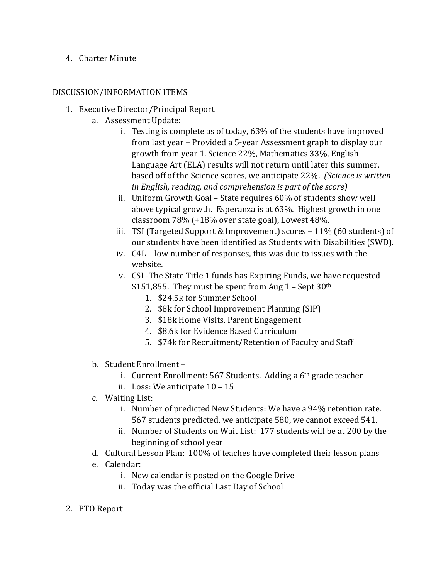### 4. Charter Minute

#### DISCUSSION/INFORMATION ITEMS

- 1. Executive Director/Principal Report
	- a. Assessment Update:
		- i. Testing is complete as of today,  $63\%$  of the students have improved from last year - Provided a 5-year Assessment graph to display our growth from year 1. Science 22%, Mathematics 33%, English Language Art (ELA) results will not return until later this summer, based off of the Science scores, we anticipate 22%. *(Science is written in English, reading, and comprehension is part of the score)*
		- ii. Uniform Growth Goal State requires 60% of students show well above typical growth. Esperanza is at 63%. Highest growth in one classroom  $78\%$  (+18% over state goal), Lowest 48%.
		- iii. TSI (Targeted Support & Improvement) scores  $-11\%$  (60 students) of our students have been identified as Students with Disabilities (SWD).
		- iv.  $C4L$  low number of responses, this was due to issues with the website.
		- v. CSI-The State Title 1 funds has Expiring Funds, we have requested
			- \$151,855. They must be spent from Aug  $1 -$  Sept  $30<sup>th</sup>$ 
				- 1. \$24.5k for Summer School
				- 2. \$8k for School Improvement Planning (SIP)
				- 3. \$18k Home Visits, Parent Engagement
				- 4. \$8.6k for Evidence Based Curriculum
				- 5. \$74k for Recruitment/Retention of Faculty and Staff
	- b. Student Enrollment
		- i. Current Enrollment:  $567$  Students. Adding a  $6<sup>th</sup>$  grade teacher
		- ii. Loss: We anticipate  $10 15$
	- c. Waiting List:
		- i. Number of predicted New Students: We have a 94% retention rate. 567 students predicted, we anticipate 580, we cannot exceed 541.
		- ii. Number of Students on Wait List: 177 students will be at 200 by the beginning of school year
	- d. Cultural Lesson Plan: 100% of teaches have completed their lesson plans
	- e. Calendar:
		- i. New calendar is posted on the Google Drive
		- ii. Today was the official Last Day of School
- 2. PTO Report